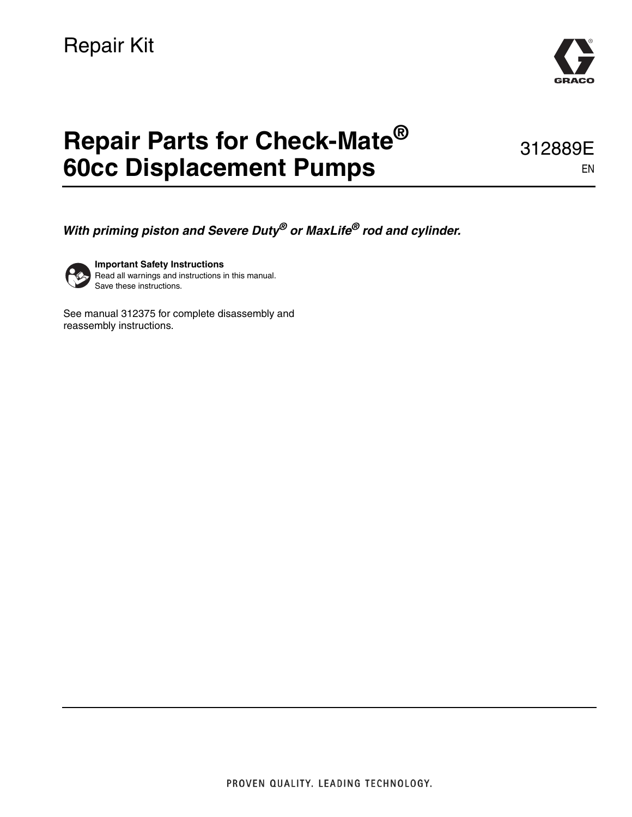

EN

312889E

# **Repair Parts for Check-Mate® 60cc Displacement Pumps**

*With priming piston and Severe Duty® or MaxLife® rod and cylinder.*



**Important Safety Instructions** Read all warnings and instructions in this manual. Save these instructions.

See manual 312375 for complete disassembly and reassembly instructions.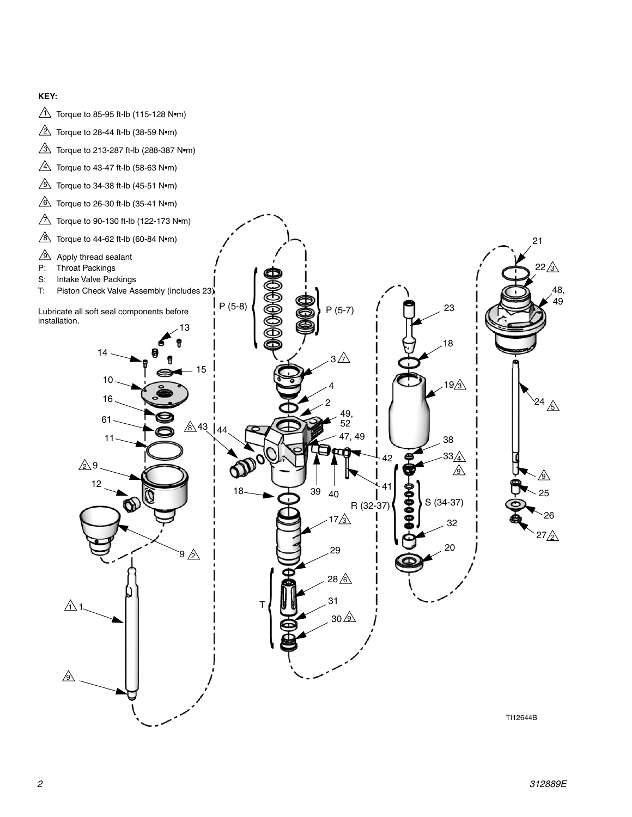#### **KEY:**

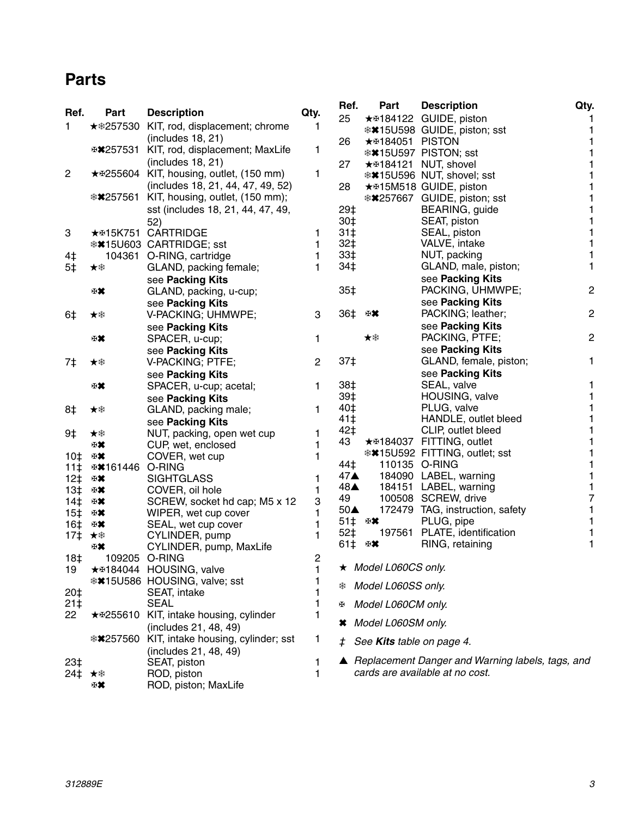### <span id="page-2-0"></span>**Parts**

| Ref.                               | Part                        | <b>Description</b>                                    | Qty.           | Ref.<br>25         | Part                      | <b>Description</b><br>★ #184122 GUIDE, piston      | Qty.           |
|------------------------------------|-----------------------------|-------------------------------------------------------|----------------|--------------------|---------------------------|----------------------------------------------------|----------------|
| 1                                  | ★ * 257530                  | KIT, rod, displacement; chrome                        | 1              |                    |                           | <b>**15U598 GUIDE, piston; sst</b>                 |                |
|                                    |                             | (includes 18, 21)                                     |                | 26                 | <b>★ #184051 PISTON</b>   |                                                    | 1              |
|                                    | ⊕¥257531                    | KIT, rod, displacement; MaxLife                       | 1              |                    |                           | <b>**15U597 PISTON; sst</b>                        |                |
|                                    |                             | (includes 18, 21)                                     |                | 27                 |                           | ★ #184121 NUT, shovel                              |                |
| $\overline{c}$                     |                             | ★ \$255604 KIT, housing, outlet, (150 mm)             | 1              |                    |                           | <b>**15U596 NUT, shovel; sst</b>                   |                |
|                                    |                             | (includes 18, 21, 44, 47, 49, 52)                     |                | 28                 |                           | ★ #15M518 GUIDE, piston                            |                |
|                                    | <b>**257561</b>             | KIT, housing, outlet, (150 mm);                       |                |                    |                           | <b>**257667 GUIDE, piston; sst</b>                 |                |
|                                    |                             | sst (includes 18, 21, 44, 47, 49,                     |                | 29‡                |                           | BEARING, guide                                     |                |
|                                    |                             | 52)                                                   |                | $30+$<br>$31+$     |                           | SEAT, piston                                       | 1              |
| 3                                  |                             | ★ #15K751 CARTRIDGE<br><b>**15U603 CARTRIDGE; sst</b> | 1<br>1         | $32+$              |                           | SEAL, piston<br>VALVE, intake                      | 1              |
| 4‡                                 |                             | 104361 O-RING, cartridge                              | 1              | 33‡                |                           | NUT, packing                                       | 1              |
| 5‡                                 | ★桊                          | GLAND, packing female;                                | 1              | 34‡                |                           | GLAND, male, piston;                               | 1              |
|                                    |                             | see Packing Kits                                      |                |                    |                           | see Packing Kits                                   |                |
|                                    | ₩                           | GLAND, packing, u-cup;                                |                | 35‡                |                           | PACKING, UHMWPE;                                   | $\overline{c}$ |
|                                    |                             | see Packing Kits                                      |                |                    |                           | see Packing Kits                                   |                |
| 6‡                                 | ★桊                          | V-PACKING; UHMWPE;                                    | 3              | 36‡                | 田某                        | PACKING; leather;                                  | $\mathbf 2$    |
|                                    |                             | see Packing Kits                                      |                |                    |                           | see Packing Kits                                   |                |
|                                    | 田其                          | SPACER, u-cup;                                        | 1              |                    | ★案                        | PACKING, PTFE;                                     | $\overline{c}$ |
|                                    |                             | see Packing Kits                                      |                |                    |                           | see Packing Kits                                   |                |
| 7‡                                 | ★举                          | V-PACKING; PTFE;                                      | $\overline{c}$ | 37‡                |                           | GLAND, female, piston;                             | 1              |
|                                    |                             | see Packing Kits                                      |                |                    |                           | see Packing Kits                                   |                |
|                                    | ₩                           | SPACER, u-cup; acetal;                                | 1              | 38‡                |                           | SEAL, valve                                        |                |
|                                    |                             | see Packing Kits                                      |                | 39‡                |                           | HOUSING, valve                                     |                |
| 8‡                                 | ★举                          | GLAND, packing male;                                  | 1              | 40‡                |                           | PLUG, valve                                        | 1              |
|                                    |                             | see Packing Kits                                      |                | 41‡<br>42‡         |                           | HANDLE, outlet bleed<br>CLIP, outlet bleed         | 1<br>1         |
| 9‡                                 | ★桊                          | NUT, packing, open wet cup                            | 1              | 43                 |                           | ★ #184037 FITTING, outlet                          | 1              |
|                                    | ₩                           | CUP, wet, enclosed                                    | 1<br>1         |                    |                           | <b>**15U592 FITTING, outlet; sst</b>               |                |
| 10 <sup>†</sup><br>11 <sup>†</sup> | ₩<br><b>E*161446 O-RING</b> | COVER, wet cup                                        |                | 44‡                |                           | 110135 O-RING                                      |                |
| $12+$                              | 田其                          | <b>SIGHTGLASS</b>                                     | 1              | $47\blacktriangle$ |                           | 184090 LABEL, warning                              | 1              |
| 13‡                                | ₩                           | COVER, oil hole                                       | 1              | $48\blacktriangle$ |                           | 184151 LABEL, warning                              | 1              |
| $14+$                              | ₩                           | SCREW, socket hd cap; M5 x 12                         | 3              | 49                 |                           | 100508 SCREW, drive                                | 7              |
| 15 <sup>†</sup>                    | ₩                           | WIPER, wet cup cover                                  | 1              | $50\blacktriangle$ |                           | 172479 TAG, instruction, safety                    | 1              |
| 16‡                                | ₩                           | SEAL, wet cup cover                                   | 1              | 51‡                | 田某                        | PLUG, pipe                                         | 1              |
| 17‡                                | ★案                          | CYLINDER, pump                                        | 1              | 52‡                | 197561                    | PLATE, identification                              |                |
|                                    | 田其                          | CYLINDER, pump, MaxLife                               |                | 61‡                | 田某                        | RING, retaining                                    | 1              |
| 18‡                                |                             | 109205 O-RING                                         | 2              |                    |                           |                                                    |                |
| 19                                 |                             | ★ #184044 HOUSING, valve                              | 1              |                    | ★ Model L060CS only.      |                                                    |                |
|                                    |                             | <b>**15U586 HOUSING, valve; sst</b>                   |                | ₩                  | Model L060SS only.        |                                                    |                |
| $20+$                              |                             | SEAT, intake<br><b>SEAL</b>                           | 1              |                    |                           |                                                    |                |
| $21+$<br>22                        |                             | ★ \$255610 KIT, intake housing, cylinder              | 1              | HH.                | Model L060CM only.        |                                                    |                |
|                                    |                             | (includes 21, 48, 49)                                 |                |                    | * Model L060SM only.      |                                                    |                |
|                                    | <b>**257560</b>             | KIT, intake housing, cylinder; sst                    | 1              |                    |                           |                                                    |                |
|                                    |                             | (includes 21, 48, 49)                                 |                | ±.                 | See Kits table on page 4. |                                                    |                |
| 23‡                                |                             | SEAT, piston                                          | 1              |                    |                           | ▲ Replacement Danger and Warning labels, tags, and |                |
| 24‡                                | ★举                          | ROD, piston                                           | 1              |                    |                           | cards are available at no cost.                    |                |
|                                    | ⊞✖                          | ROD, piston; MaxLife                                  |                |                    |                           |                                                    |                |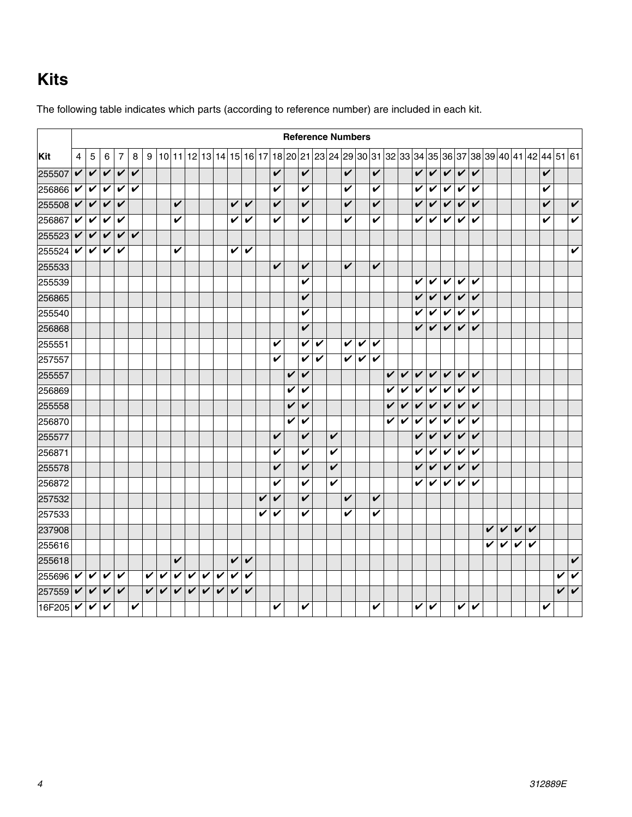## <span id="page-3-0"></span>**Kits**

|        | <b>Reference Numbers</b> |                                   |              |              |                         |   |   |   |   |              |              |                         |                         |   |   |   |   |   |                         |   |   |   |   |              |   |   |                            |              |              |   |              |                         |   |   |                                                                                           |                         |
|--------|--------------------------|-----------------------------------|--------------|--------------|-------------------------|---|---|---|---|--------------|--------------|-------------------------|-------------------------|---|---|---|---|---|-------------------------|---|---|---|---|--------------|---|---|----------------------------|--------------|--------------|---|--------------|-------------------------|---|---|-------------------------------------------------------------------------------------------|-------------------------|
| Kit    | $\overline{4}$           | 5                                 | 6            | 7            | 8                       | 9 |   |   |   |              |              |                         |                         |   |   |   |   |   |                         |   |   |   |   |              |   |   |                            |              |              |   |              |                         |   |   | 10 11 12 13 14 15 16 17 18 20 21 23 24 29 30 31 32 33 34 35 36 37 38 39 40 41 42 44 51 61 |                         |
| 255507 | V                        | $\checkmark$                      | V            | V            | V                       |   |   |   |   |              |              |                         |                         |   | V |   | V |   |                         | V |   | V |   |              | V | V | $\checkmark$               | V            | $\checkmark$ |   |              |                         |   | V |                                                                                           |                         |
| 256866 | V                        | V                                 | V            | V            | V                       |   |   |   |   |              |              |                         |                         |   | V |   | V |   |                         | V |   | V |   |              | V | V | V                          | V            | V            |   |              |                         |   | V |                                                                                           |                         |
| 255508 | V                        | $\checkmark$                      | V            | V            |                         |   |   | V |   |              |              | V                       | V                       |   | V |   | V |   |                         | V |   | V |   |              | V | V | V                          | $\checkmark$ | V            |   |              |                         |   | V |                                                                                           | V                       |
| 256867 | V                        | V                                 | V            | V            |                         |   |   | V |   |              |              | $\overline{\mathbf{v}}$ | $\overline{\mathbf{v}}$ |   | V |   | V |   |                         | V |   | V |   |              | V | V | V                          | V            | V            |   |              |                         |   | V |                                                                                           | $\overline{\mathbf{v}}$ |
| 255523 | $\checkmark$             | $\checkmark$                      | $\checkmark$ | V            | $\overline{\mathbf{v}}$ |   |   |   |   |              |              |                         |                         |   |   |   |   |   |                         |   |   |   |   |              |   |   |                            |              |              |   |              |                         |   |   |                                                                                           |                         |
| 255524 |                          | $\boldsymbol{v}$ $\boldsymbol{v}$ | V            | V            |                         |   |   | V |   |              |              | V                       | $\overline{\mathbf{v}}$ |   |   |   |   |   |                         |   |   |   |   |              |   |   |                            |              |              |   |              |                         |   |   |                                                                                           | V                       |
| 255533 |                          |                                   |              |              |                         |   |   |   |   |              |              |                         |                         |   | V |   | V |   |                         | V |   | V |   |              |   |   |                            |              |              |   |              |                         |   |   |                                                                                           |                         |
| 255539 |                          |                                   |              |              |                         |   |   |   |   |              |              |                         |                         |   |   |   | V |   |                         |   |   |   |   |              | V | V | V                          | V            | $\checkmark$ |   |              |                         |   |   |                                                                                           |                         |
| 256865 |                          |                                   |              |              |                         |   |   |   |   |              |              |                         |                         |   |   |   | V |   |                         |   |   |   |   |              | V | V | $\checkmark$               | V            | $\checkmark$ |   |              |                         |   |   |                                                                                           |                         |
| 255540 |                          |                                   |              |              |                         |   |   |   |   |              |              |                         |                         |   |   |   | V |   |                         |   |   |   |   |              | V | V | V                          | V            | V            |   |              |                         |   |   |                                                                                           |                         |
| 256868 |                          |                                   |              |              |                         |   |   |   |   |              |              |                         |                         |   |   |   | V |   |                         |   |   |   |   |              | V | V | V                          | V            | V            |   |              |                         |   |   |                                                                                           |                         |
| 255551 |                          |                                   |              |              |                         |   |   |   |   |              |              |                         |                         |   | V |   | V | V |                         | V | V | V |   |              |   |   |                            |              |              |   |              |                         |   |   |                                                                                           |                         |
| 257557 |                          |                                   |              |              |                         |   |   |   |   |              |              |                         |                         |   | V |   | V | V |                         | V | V | V |   |              |   |   |                            |              |              |   |              |                         |   |   |                                                                                           |                         |
| 255557 |                          |                                   |              |              |                         |   |   |   |   |              |              |                         |                         |   |   | V | V |   |                         |   |   |   | V | V            | V | V | $\checkmark$               | $\checkmark$ | V            |   |              |                         |   |   |                                                                                           |                         |
| 256869 |                          |                                   |              |              |                         |   |   |   |   |              |              |                         |                         |   |   | V | V |   |                         |   |   |   | V | V            | V | V | $\boldsymbol{\mathcal{V}}$ | V            | $\checkmark$ |   |              |                         |   |   |                                                                                           |                         |
| 255558 |                          |                                   |              |              |                         |   |   |   |   |              |              |                         |                         |   |   | V | V |   |                         |   |   |   | V | $\checkmark$ | V | V | $\boldsymbol{\mathcal{U}}$ | $\checkmark$ | $\checkmark$ |   |              |                         |   |   |                                                                                           |                         |
| 256870 |                          |                                   |              |              |                         |   |   |   |   |              |              |                         |                         |   |   | V | V |   |                         |   |   |   | V | V            | V | V | V                          | V            | V            |   |              |                         |   |   |                                                                                           |                         |
| 255577 |                          |                                   |              |              |                         |   |   |   |   |              |              |                         |                         |   | V |   | V |   | V                       |   |   |   |   |              | V | V | V                          | V            | V            |   |              |                         |   |   |                                                                                           |                         |
| 256871 |                          |                                   |              |              |                         |   |   |   |   |              |              |                         |                         |   | V |   | V |   | V                       |   |   |   |   |              | V | V | V                          | V            | $\checkmark$ |   |              |                         |   |   |                                                                                           |                         |
| 255578 |                          |                                   |              |              |                         |   |   |   |   |              |              |                         |                         |   | V |   | V |   | $\overline{\mathbf{v}}$ |   |   |   |   |              | V | V | V                          | $\checkmark$ | $\checkmark$ |   |              |                         |   |   |                                                                                           |                         |
| 256872 |                          |                                   |              |              |                         |   |   |   |   |              |              |                         |                         |   | V |   | V |   | V                       |   |   |   |   |              | V | V | V                          | V            | V            |   |              |                         |   |   |                                                                                           |                         |
| 257532 |                          |                                   |              |              |                         |   |   |   |   |              |              |                         |                         | V | V |   | V |   |                         | V |   | V |   |              |   |   |                            |              |              |   |              |                         |   |   |                                                                                           |                         |
| 257533 |                          |                                   |              |              |                         |   |   |   |   |              |              |                         |                         | V | V |   | V |   |                         | ✓ |   | V |   |              |   |   |                            |              |              |   |              |                         |   |   |                                                                                           |                         |
| 237908 |                          |                                   |              |              |                         |   |   |   |   |              |              |                         |                         |   |   |   |   |   |                         |   |   |   |   |              |   |   |                            |              |              | V | $\checkmark$ | $\overline{\mathbf{v}}$ | V |   |                                                                                           |                         |
| 255616 |                          |                                   |              |              |                         |   |   |   |   |              |              |                         |                         |   |   |   |   |   |                         |   |   |   |   |              |   |   |                            |              |              | V | V            | V                       | V |   |                                                                                           |                         |
| 255618 |                          |                                   |              |              |                         |   |   | V |   |              |              | $\overline{\mathbf{v}}$ | $\checkmark$            |   |   |   |   |   |                         |   |   |   |   |              |   |   |                            |              |              |   |              |                         |   |   |                                                                                           | $\checkmark$            |
| 255696 | V                        | V                                 | V            | V            |                         | V | V | V | V | $\checkmark$ | $\checkmark$ | $\checkmark$            | V                       |   |   |   |   |   |                         |   |   |   |   |              |   |   |                            |              |              |   |              |                         |   |   | V                                                                                         | V                       |
| 257559 | V                        | V                                 | V            | $\checkmark$ |                         | V | V | V | V | V            | $\checkmark$ | $\overline{\mathbf{v}}$ | V                       |   |   |   |   |   |                         |   |   |   |   |              |   |   |                            |              |              |   |              |                         |   |   | V                                                                                         | $\boldsymbol{\nu}$      |
| 16F205 | V                        | ✔                                 | V            |              | V                       |   |   |   |   |              |              |                         |                         |   | V |   | V |   |                         |   |   | V |   |              | V | V |                            | V            | V            |   |              |                         |   | V |                                                                                           |                         |

The following table indicates which parts (according to reference number) are included in each kit.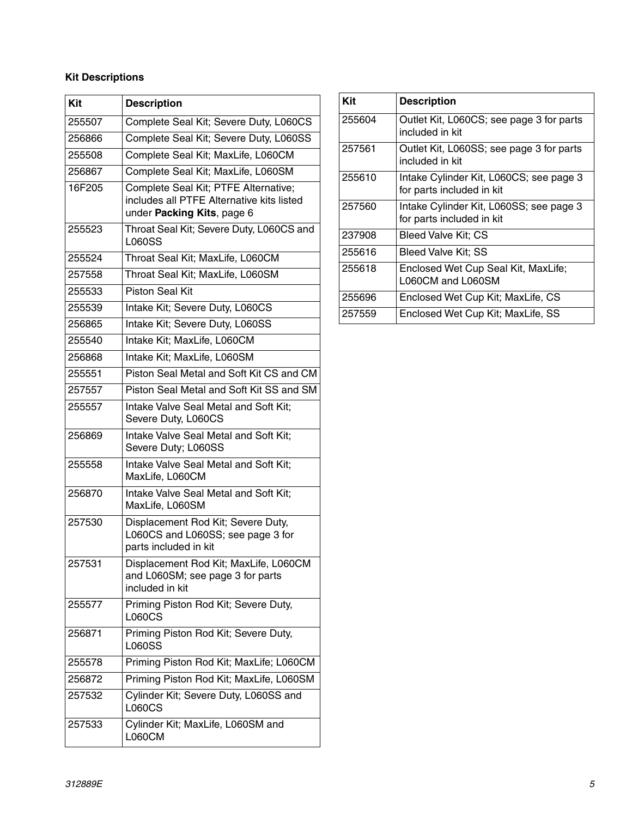#### **Kit Descriptions**

| Kit    | <b>Description</b>                                                                                              |
|--------|-----------------------------------------------------------------------------------------------------------------|
| 255507 | Complete Seal Kit; Severe Duty, L060CS                                                                          |
| 256866 | Complete Seal Kit; Severe Duty, L060SS                                                                          |
| 255508 | Complete Seal Kit; MaxLife, L060CM                                                                              |
| 256867 | Complete Seal Kit; MaxLife, L060SM                                                                              |
| 16F205 | Complete Seal Kit; PTFE Alternative;<br>includes all PTFE Alternative kits listed<br>under Packing Kits, page 6 |
| 255523 | Throat Seal Kit; Severe Duty, L060CS and<br><b>L060SS</b>                                                       |
| 255524 | Throat Seal Kit; MaxLife, L060CM                                                                                |
| 257558 | Throat Seal Kit; MaxLife, L060SM                                                                                |
| 255533 | <b>Piston Seal Kit</b>                                                                                          |
| 255539 | Intake Kit; Severe Duty, L060CS                                                                                 |
| 256865 | Intake Kit; Severe Duty, L060SS                                                                                 |
| 255540 | Intake Kit; MaxLife, L060CM                                                                                     |
| 256868 | Intake Kit; MaxLife, L060SM                                                                                     |
| 255551 | Piston Seal Metal and Soft Kit CS and CM                                                                        |
| 257557 | Piston Seal Metal and Soft Kit SS and SM                                                                        |
| 255557 | Intake Valve Seal Metal and Soft Kit;<br>Severe Duty, L060CS                                                    |
| 256869 | Intake Valve Seal Metal and Soft Kit;<br>Severe Duty; L060SS                                                    |
| 255558 | Intake Valve Seal Metal and Soft Kit;<br>MaxLife, L060CM                                                        |
| 256870 | Intake Valve Seal Metal and Soft Kit;<br>MaxLife, L060SM                                                        |
| 257530 | Displacement Rod Kit; Severe Duty,<br>L060CS and L060SS; see page 3 for<br>parts included in kit                |
| 257531 | Displacement Rod Kit; MaxLife, L060CM<br>and L060SM; see page 3 for parts<br>included in kit                    |
| 255577 | Priming Piston Rod Kit; Severe Duty,<br><b>L060CS</b>                                                           |
| 256871 | Priming Piston Rod Kit; Severe Duty,<br>L060SS                                                                  |
| 255578 | Priming Piston Rod Kit; MaxLife; L060CM                                                                         |
| 256872 | Priming Piston Rod Kit; MaxLife, L060SM                                                                         |
| 257532 | Cylinder Kit; Severe Duty, L060SS and<br>L060CS                                                                 |
| 257533 | Cylinder Kit; MaxLife, L060SM and<br><b>L060CM</b>                                                              |

| Kit    | <b>Description</b>                                                   |
|--------|----------------------------------------------------------------------|
| 255604 | Outlet Kit, L060CS; see page 3 for parts<br>included in kit          |
| 257561 | Outlet Kit, L060SS; see page 3 for parts<br>included in kit          |
| 255610 | Intake Cylinder Kit, L060CS; see page 3<br>for parts included in kit |
| 257560 | Intake Cylinder Kit, L060SS; see page 3<br>for parts included in kit |
| 237908 | Bleed Valve Kit: CS                                                  |
| 255616 | Bleed Valve Kit; SS                                                  |
| 255618 | Enclosed Wet Cup Seal Kit, MaxLife;<br>L060CM and L060SM             |
| 255696 | Enclosed Wet Cup Kit; MaxLife, CS                                    |
| 257559 | Enclosed Wet Cup Kit; MaxLife, SS                                    |